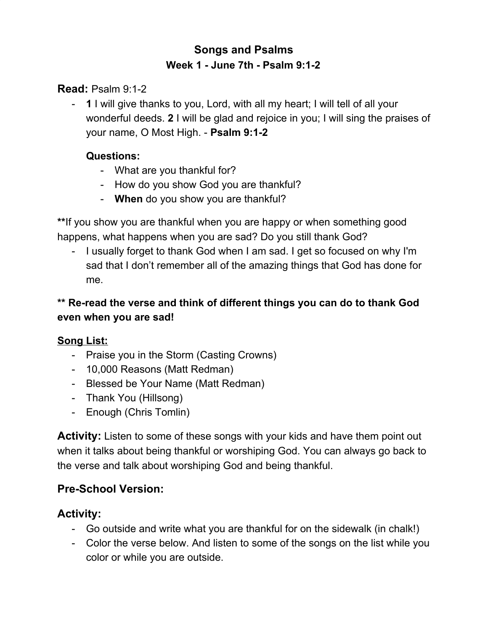# **Songs and Psalms Week 1 - June 7th - Psalm 9:1-2**

**Read:** Psalm 9:1-2

- **1** I will give thanks to you, Lord, with all my heart; I will tell of all your wonderful deeds. **2** I will be glad and rejoice in you; I will sing the praises of your name, O Most High. - **Psalm 9:1-2**

#### **Questions:**

- What are you thankful for?
- How do you show God you are thankful?
- **When** do you show you are thankful?

**\*\***If you show you are thankful when you are happy or when something good happens, what happens when you are sad? Do you still thank God?

- I usually forget to thank God when I am sad. I get so focused on why I'm sad that I don't remember all of the amazing things that God has done for me.

## **\*\* Re-read the verse and think of different things you can do to thank God even when you are sad!**

## **Song List:**

- Praise you in the Storm (Casting Crowns)
- 10,000 Reasons (Matt Redman)
- Blessed be Your Name (Matt Redman)
- Thank You (Hillsong)
- Enough (Chris Tomlin)

**Activity:** Listen to some of these songs with your kids and have them point out when it talks about being thankful or worshiping God. You can always go back to the verse and talk about worshiping God and being thankful.

## **Pre-School Version:**

## **Activity:**

- Go outside and write what you are thankful for on the sidewalk (in chalk!)
- Color the verse below. And listen to some of the songs on the list while you color or while you are outside.